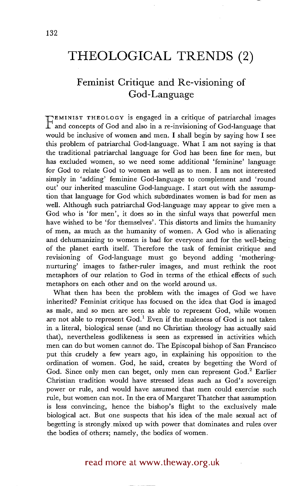## **THEOLOGICAL TRENDS (2)**

## **Feminist Critique and Re-visioning of God-Language**

**F** EMINIST THEOLOGY is engaged in a critique of patriarchal images and concepts of God and also in a re-invisioning of God-language that would be inclusive of women and men. I shall begin by saying how I see this problem of patriarchal God-language. What I am not saying is that the traditional patriarchal language for God has been fine for men, but has excluded women, so we need some additional 'feminine' language for God to relate God to women as well as to men. I am not interested simply in 'adding' feminine God-language to complement and 'round out' our inherited masculine God-language. I start out with the assumption that language for God which subordinates women is bad for men as well. Although such patriarchal God-language may appear to give men a God who is 'for men', it does so in the sinful ways that powerful men have wished to be 'for themselves'. This distorts and limits the humanity of men, as much as the humanity of women. A God who is alienating and dehumanizing to women is bad for everyone and for the well-being of the planet earth itself. Therefore the task of feminist critique and revisioning of God-language must go beyond adding 'motheringnurturing' images to father-ruler images, and must rethink the root metaphors of our relation to God in terms of the ethical effects of such metaphors on each other and on the world around us.

What then has been the problem with the images of God we have inherited? Feminist critique has focused on the idea that God is imaged as male, and so men are seen as able to represent God, while women are not able to represent  $God<sup>1</sup>$  Even if the maleness of God is not taken in a literal, biological sense (and no Christian theology has actually said that), nevertheless godlikeness is seen as expressed in activities which men can do but women cannot do. The Episcopal bishop of San Francisco put this crudely a few years ago, in explaining his opposition to the ordination of women. God, he said, creates by begetting the Word of God. Since only men can beget, only men can represent God.<sup>2</sup> Earlier Christian tradition would have stressed ideas such as God's sovereign power or rule, and would have assumed that men could exercise such rule, but women can not. In the era of Margaret Thatcher that assumption is less convincing, hence the bishop's flight to the exclusively male biological act. But one suspects that his idea of the male sexual act of begetting is strongly mixed up with power that dominates and rules over the bodies of others; namely, the bodies of women.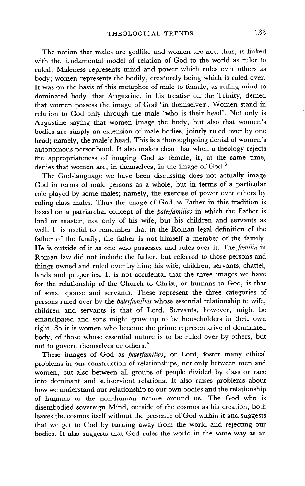The notion that males are godlike and women are not, thus, is linked with the fundamental model of relation of God to the world as ruler to ruled. Maleness represents mind and power which rules over others as body; women represents the bodily, creaturely being which is ruled over. It was on the basis of this metaphor of male to female, as ruling mind to dominated body, that Augustine, in his treatise on the Trinity, denied that women possess the image of God 'in themselves'. Women stand in relation to God only through the male 'who is their head'. Not only is Augustine saying that women image the body, but also that women's bodies are simply an extension of male bodies, jointly ruled over by one head; namely, the male's head. This is a thoroughgoing denial of women's autonomous personhood. It also makes clear that when a theology rejects the appropriateness of imaging God as female, it, at the same time, denies that women are, in themselves, in the image of God.<sup>3</sup>

The God-language we have been discussing does not actually image God in terms of male persons as a whole, but in terms of a particular role played by some males; namely, the exercise of power over others by ruling-class males. Thus the image of God as Father in this tradition is based on a patriarchal concept of the *paterfamilias* in which the Father is lord or master, not only of his wife, but his children and servants as well. It is useful to remember that in the Roman legal definition of the father of the family, the father is not himself a member of the family. He is outside of it as one who possesses and rules over it. *The familia* in Roman law did not include the father, but referred to those persons and things owned and ruled over by him; his wife, children, servants, chattel, lands and properties. It is not accidental that the three images we have for the relationship of the Church to Christ, or humans to God, is that of sons, spouse and servants. These represent the three categories of persons ruled over by the *paterfamilias* whose essential relationship to wife, children and servants is that of Lord. Servants, however, might be emancipated and sons might grow up to be householders in their own right. So it is women who become the prime representative of dominated body, of those whose essential nature is to be ruled over by others, but not to govern themselves or others. 4

These images of God as *paterfamilias,* or Lord, foster many ethical problems in our construction of relationships, not only between men and women, but also between all groups of people divided by class or race into dominant and subservient relations. It also raises problems about how we understand our relationship to our own bodies and the relationship of humans to the non-human nature around us. The God who is disembodied sovereign Mind, outside of the cosmos as his creation, both leaves the cosmos itself without the presence of God within it and suggests that we get to God by turning away from the world and rejecting our bodies. It also suggests that God rules the world in the same way as an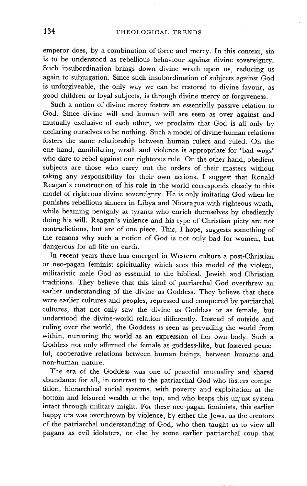emperor does, by a combination of force and mercy. In this context, sin is to be understood as rebellious behaviour against divine sovereignty. Such insubordination brings down divine wrath upon us, reducing us again to subjugation. Since such insubordination of subjects against God is unforgiveable, the only way we can be restored to divine favour, as good children or loyal subjects, is through divine mercy or forgiveness.

Such a notion of divine mercy fosters an essentially passive relation to God. Since divine will and human will are seen as over against and mutually exclusive of each other, we proclaim that God is all only by declaring ourselves to be nothing. Such a model of divine-human relations fosters the same relationship between human rulers and ruled. On the one hand, annihilating wrath and violence is appropriate for 'bad wogs' who dare to rebel against our righteous rule. On the other hand, obedient subjects are those who carry out the orders of their masters without taking any responsibility for their own actions. I suggest that Ronald Reagan's construction of his role in the world corresponds closely to this model of righteous divine sovereignty. He is only imitating God when he punishes rebellious sinners in Libya and Nicaragua with righteous wrath, while beaming benignly at tyrants who enrich themselves by obediently doing his will. Reagan's violence and his type of Christian piety are not contradictions, but are of one piece. This, I hope, suggests something of the reasons why such a notion of God is not only bad for women, but dangerous for all life on earth.

In recent years there has emerged in Western culture a post-Christian or neo-pagan feminist spirituality which sees this model of the violent, militaristic male God as essential to the biblical, Jewish and Christian traditions. They believe that this kind of patriarchal God overthrew an earlier understanding of the divine as Goddess. They believe that there were earlier cultures and peoples, repressed and conquered by patriarchal cultures, that not only saw the divine as Goddess or as female, but understood the divine-world relation differently. Instead of outside and ruling over the world, the Goddess is seen as pervading the world from within, nurturing the world as an expression of her own body. Such a Goddess not only affirmed the female as goddess-like, but fostered peaceful, cooperative relations between human beings, between humans and non-human nature.

The era of the Goddess was one of peaceful mutuality and shared abundance for all, in contrast to the patriarchal God who fosters competition, hierarchical social systems, with poverty and exploitation at the bottom and leisured wealth at the top, and who keeps this unjust system intact through military might. For these neo-pagan feminists, this earlier happy era was overthrown by violence, by either the Jews, as the creators of the patriarchal understanding of God, who then taught us to view all pagans as evil idolaters, or else by some earlier patriarchal coup that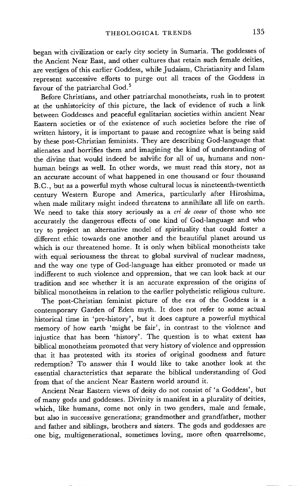began with civilization or early city society in Sumaria. The goddesses of the Ancient Near East, and other cultures that retain such female deities, are vestiges of this earlier Goddess, while Judaism, Christianity and Islam represent successive efforts to purge out all traces of the Goddess in favour of the patriarchal God.<sup>5</sup>

Before Christians, and other patriarchal monotheists, rush in to protest at the unhistoricity of this picture, the lack of evidence of such a link between Goddesses and peaceful egalitarian societies within ancient Near Eastern societies or of the existence of such societies before the rise of written history, it is important to pause and recognize what is being said by these post-Christian feminists. They are describing God-langnage that alienates and horrifies them and imagining the kind of understanding of the divine that would indeed be salvific for all of us, humans and nonhuman beings as well. In other words, we must read this story, not as an accurate account of what happened in one thousand or four thousand B.C., but as a powerful myth whose cultural locus is nineteenth-twentieth century Western Europe and America, particularly after Hiroshima, when male military might indeed threatens to annihilate all life on earth. We need to take this story seriously as a *cri de coeur* of those who see accurately the dangerous effects of one kind of God-language and who try to project an alternative model of spirituality that could foster a different ethic towards one another and the beautiful planet around us which is our threatened home. It is only when biblical monotheists take with equal seriousness the threat to global survival of nuclear madness, and the way one type of God-language has either promoted or made us indifferent to such violence and oppression, that we can look back at our tradition and see whether it is an accurate expression of the origins of biblical monotheism in relation to the earlier polytheistic religious culture.

The post-Christian feminist picture of the era of the Goddess is a contemporary Garden of Eden myth. It does not refer to some actual historical time in 'pre-history', but it does capture a powerful mythical memory of how earth 'might be fair', in contrast to the violence and injustice that has been 'history'. The question is to what extent has biblical monotheism promoted that very history of violence and oppression that it has protested with its stories of original goodness and future redemption? To answer this I would like to take another look at the essential characteristics that separate the biblical understanding of God from that of the ancient Near Eastern world around it.

Ancient Near Eastern views of deity do not consist of 'a Goddess', but of many gods and goddesses. Divinity is manifest in a plurality of deities, which, like humans, come not only in two genders, male and female, but also in successive generations; grandmother and grandfather, mother and father and siblings, brothers and sisters. The gods and goddesses are one big, multigenerational, sometimes loving, more often quarrelsome,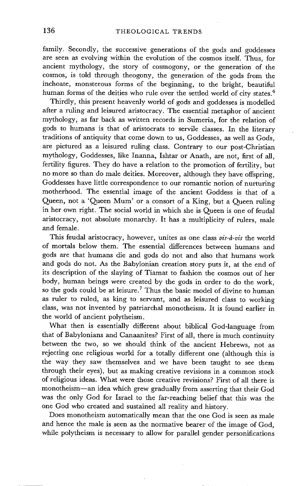family. Secondly, the successive generations of the gods and goddesses are seen as evolving within the evolution of the cosmos itself. Thus, for ancient mythology, the story of cosmogony, or the generation of the cosmos, is told through theogony, the generation of the gods from the inchoate, monsterous forms of the beginning, to the bright, beautiful human forms of the deities who rule over the settled world of city states.<sup>6</sup>

Thirdly, this present heavenly world of gods and goddesses is modelled after a ruling and leisured aristocracy. The essential metaphor of ancient mythology, as far back as written records in Sumeria, for the relation of gods to humans is that of aristocrats to servile classes. In the literary traditions of antiquity that come down to us, Goddesses, as well as Gods, are pictured as a leisured ruling class. Contrary to our post-Christian mythology, Goddesses, like Inanna, Ishtar or Anath, are not, first of all, fertility figures. They do have a relation to the promotion of fertility, but no more so than do male deities. Moreover, although they have Offspring, Goddesses have little correspondence to our romantic notion of nurturing motherhood. The essential image of the ancient Goddess is that of a Queen, not a 'Queen Mum' or a consort of a King, but a Queen ruling in her own right. The social world in which she is Queen is one of feudal aristocracy, not absolute monarchy. It has a multiplicity of rulers, male and female.

This feudal aristocracy, however, unites as one class *vis-à-vis* the world of mortals below them. The essential differences between humans and gods are that humans die and gods do not and also that humans work and gods do not. As the Babylonian creation story puts it, at the end of its description of the slaying of Tiamat to fashion the cosmos out of her body, human beings were created by the gods in order to do the work, so the gods could be at leisure.<sup>7</sup> Thus the basic model of divine to human as ruler to ruled, as king to servant, and as leisured class to working class, was not invented by patriarchal monotheism. It is found earlier in the world of ancient polytheism.

What then is essentially different about biblical God-language from that of Babylonians and Canaanites? First of all, there is much continuity between the two, so we should think of the ancient Hebrews, not as rejecting one religious world for a totally different one (although this is the way they saw themselves and we have been taught to see them through their eyes), but as making creative revisions in a common stock of religious ideas. What were those creative revisions? First of all there is monotheism--an idea which grew gradually from asserting that their God was the only God for Israel to the far-reaching belief that this was the one God who created and sustained all reality and history.

Does monotheism automatically mean that the one God is seen as male and hence the male is seen as the normative bearer of the image of God, while polytheism is necessary to allow for parallel gender personifications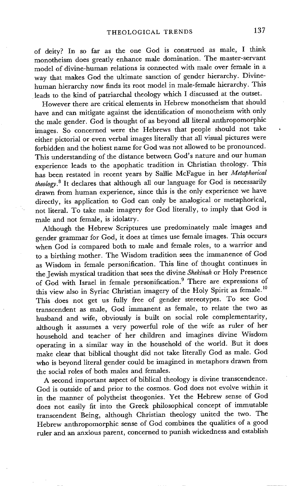of deity? In so far as the one God is construed as male, I think monotheism does greatly enhance male domination. The master-servant model of divine-human relations is connected with male over female in a way that makes God the ultimate sanction of gender hierarchy. Divinehuman hierarchy now finds its root model in male-female hierarchy. This leads to the kind of patriarchal theology which I discussed at the outset.

However there are critical elements in Hebrew monotheism that should have and can mitigate against the identification of monotheism with only the male gender. God is thought of as beyond all literal anthropomorphic images. So concerned were the Hebrews that people should not take either pictorial or even verbal images literally that all visual pictures were forbidden and the holiest name for God was not allowed to be pronounced. This understanding of the distance between God's nature and our human experience leads to the apophatic tradition in Christian theology. This has been restated in recent years by Sallie McFague in her *Metaphorical theology. 8* It declares that although all our language for God is necessarily drawn from human experience, since this is the only experience we have directly, its application to God can only be analogical or metaphorical, not literal. To take male imagery for God literally, to imply that God is male and not female, is idolatry.

Although the Hebrew Scriptures use predominately male images and gender grammar for God, it does at times use female images. This occurs when God is compared both to male and female roles, to a warrior and to a birthing mother. The Wisdom tradition sees the immanence of God as Wisdom in female personification. This line of thought continues in the Jewish mystical tradition that sees the divine *Shekinah* or Holy Presence of God with Israel in female personification. 9 There are expressions of this view also in Syriac Christian imagery of the Holy Spirit as female. 10 This does not get us fully free of gender stereotypes. To see God transcendent as male, God immanent as female, to relate the two as husband and wife, obviously is built on social role complementarity, although it assumes a very powerful role of the wife as ruler of her household and teacher of her children and imagines divine Wisdom operating in a similar way in the household of the world. But it does make clear that biblical thought did not take literally God as male. God who is beyond literal gender could be imagined in metaphors drawn from the social roles of both males and females.

A second important aspect of biblical theology is divine transcendence. God is outside of and prior to the cosmos. God does not evolve within it in the manner of polytheist theogonies. Yet the Hebrew sense of God does not easily fit into the Greek philosophical concept of immutable transcendent Being, although Christian theology united the two. The Hebrew anthropomorphic sense of God combines the qualities of a good ruler and an anxious parent, concerned to punish wickedness and establish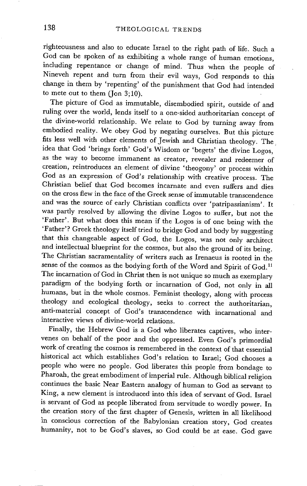righteousness and also to educate Israel to the right path of life. Such a God can be spoken of as exhibiting a whole range of human emotions, including repentance or change of mind. Thus when the people of Nineveh repent and turn from their evil ways, God responds to this change in them by 'repenting' of the punishment that God had intended to mete out to them  $($  Jon  $3;10)$ .

The picture of God as immutable, disembodied spirit, outside of and ruling over the world, lends itself to a one-sided authoritarian concept of the divine-world relationship. We relate to God by turning away from embodied reality. We obey God by negating ourselves. But this picture fits less well with other elements of Jewish and Christian theology. The idea that God 'brings forth' God's Wisdom or 'begets' the divine Logos, as the way to become immanent as creator, revealer and redeemer of creation, reintroduces an element of divine 'theogony' or process within God as an expression of God's relationship with creative process. The Christian belief that God becomes incarnate and even suffers and dies on the cross flew in the face of the Greek sense of immutable transcendence and was the source of early Christian conflicts over 'patripassianism'. It was partly resolved by allowing the divine Logos to suffer, but not the 'Father'. But what does this mean if the Logos is of one being with the 'Father'? Greek theology itself tried to bridge God and body by suggesting that this changeable aspect of God, the Logos, was not only architect and intellectual blueprint for the cosmos, but also the ground of its being. The Christian sacramentality of writers such as Irenaeus is rooted in the sense of the cosmos as the bodying forth of the Word and Spirit of God.<sup>11</sup> The incarnation of God in Christ then is not unique so much as exemplary paradigm of the bodying forth or incarnation of God, not only in all humans, but in the whole cosmos. Feminist theology, along with process theology and ecological theology, seeks to correct the authoritarian, anti-material concept of God's transcendence with incarnational and interactive views of divine-world relations.

Finally, the Hebrew God is a God who liberates captives, who intervenes on behalf of the poor and the oppressed. Even God's primordial work of creating the cosmos is remembered in the context of that essential historical act which establishes God's relation to Israel; God chooses a people who were no people. God liberates this people from bondage to Pharoah, the great embodiment of imperial rule. Although biblical religion continues the basic Near Eastern analogy of human to God as servant to King, a new element is introduced into this idea of servant of God. Israel is servant of God as people liberated from servitude to wordly power. In the creation story of the first chapter of Genesis, written in all likelihood in conscious correction of the Babylonian creation story, God creates humanity, not to be God's slaves, so God could be at ease. God gave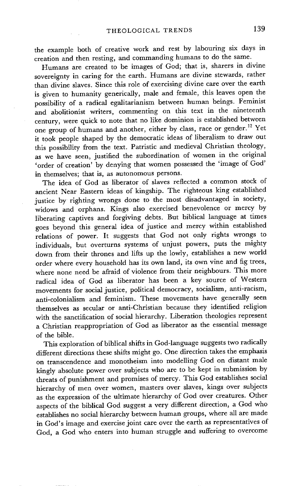the example both of creative work and rest by labouring six days in creation and then resting, and commanding humans to do the same.

Humans are created to be images of God; that is, sharers in divine sovereignty in caring for the earth. Humans are divine stewards, rather than divine slaves. Since this role of exercising divine care over the earth is given to humanity generically, male and female, this leaves open the possibility of a radical egalitarianism between human beings. Feminist and abolitionist writers, commenting on this text in the nineteenth century, were quick to note that no like dominion is established between one group of humans and another, either by class, race or gender. 12 Yet it took people shaped by the democratic ideas of liberalism to draw out this possibility from the text. Patristic and medieval Christian theology, as we have seen, justified the subordination of women in the original 'order of creation' by denying that women possessed the 'image of God' in themselves; that is, as autonomous persons.

The idea of God as liberator of slaves reflected a common stock of ancient Near Eastern ideas of kingship. The righteous king established justice by righting wrongs done to the most disadvantaged in society, widows and orphans. Kings also exercised benevolence or mercy by liberating captives and forgiving debts. But biblical language at times goes beyond this general idea of justice and mercy within established relations of power. It suggests that God not only rights wrongs to individuals, but overturns systems of unjust powers, puts the mighty down from their thrones and lifts up the lowly, establishes a new world order where every household has its own land, its own vine and fig trees, where none need be afraid of violence from their neighbours. This more radical idea of God as liberator has been a key source of Western movements for social justice, political democracy, socialism, anti-racism, anti-colonialism and feminism. These movements have generally seen themselves as secular or anti-Christian because they identified religion with the sanctification of social hierarchy. Liberation theologies represent a Christian reappropriation of God as liberator as the essential message of the bible.

This exploration of biblical shifts in God-language suggests two radically different directions these shifts might go. One direction takes the emphasis on transcendence and monotheism into modelling God on distant male kingly absolute power over subjects who are to be kept in submission by threats of punishment and promises of mercy. This God establishes social hierarchy of men over women, masters over slaves, kings over subjects as the expression of the ultimate hierarchy of God over creatures. Other aspects of the biblical God suggest a very different direction, a God who establishes no social hierarchy between human groups, where all are made in God's image and exercise joint care over the earth as representatives of God, a God who enters into human struggle and suffering to overcome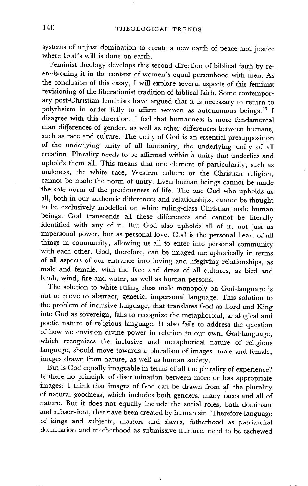systems of unjust domination to create a new earth of peace and justice where God's will is done on earth.

Feminist theology develops this second direction of biblical faith by reenvisioning it in the context of women's equal personhood with men. As the conclusion of this essay, I will explore several aspects of this feminist revisioning of the liberationist tradition of biblical faith. Some contemporary post-Christian feminists have argued that it is necessary to return to polytheism in order fully to affirm women as autonomous beings.<sup>13</sup> I disagree with this direction. I feel that humanness is more fundamental than differences of gender, as well as other differences between humans, such as race and culture. The unity of God is an essential presupposition of the underlying unity of all humanity, the underlying unity of all creation. Plurality needs to be affirmed within a unity that underlies and upholds them all. This means that one element of particularity, such as maleness, the white race, Western culture or the Christian religion, cannot be made the norm of unity. Even human beings cannot be made the sole norm of the preciousness of life. The one God who upholds us all, both in our authentic differences and relationships, cannot be thought to be exclusively modelled on white ruling-class Christian male human beings. God transcends all these differences and cannot be literally identified with any of it. But God also upholds all of it, not just as impersonal power, but as personal love. God is the personal heart of all things in community, allowing us all to enter into personal community with each other. God, therefore, can be imaged metaphorically in terms of all aspects of our entrance into loving and lifegiving relationships, as male and female, with the face and dress of all cultures, as bird and lamb, wind, fire and water, as well as human persons.

The solution to white ruling-class male monopoly on God-language is not to move to abstract, generic, impersonal language. This solution to the problem of inclusive language, that translates God as Lord and King into God as sovereign, fails to recognize the metaphorical, analogical and poetic nature of religious language. It also fails to address the question of how we envision divine power in relation to our own. God-language, which recognizes the inclusive and metaphorical nature of religious language, should move towards a pluralism of images, male and female, images drawn from nature, as well as human society.

But is God equally imageable in terms of all the plurality of experience? Is there no principle of discrimination between more or less appropriate images? I think that images of God can be drawn from all the plurality of natural goodness, which includes both genders, many races and all of nature. But it does not equally include the social roles, both dominant and subservient, that have been created by human sin. Therefore language of kings and subjects, masters and slaves, fatherhood as patriarchal domination and motherhood as submissive nurture, need to be eschewed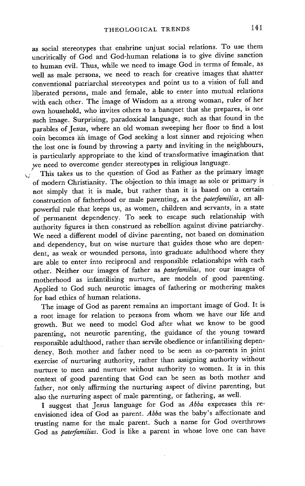as social stereotypes that enshrine unjust social relations. To use them uncritically of God and God-human relations is to give divine sanction to human evil. Thus, while we need to image God in terms of female, as well as male persons, we need to reach for creative images that shatter conventional patriarchal stereotypes and point us to a vision of full and liberated persons, male and female, able to enter into mutual relations with each other. The image of Wisdom as a strong woman, ruler of her own household, who invites others to a banquet that she prepares, is one such image. Surprising, paradoxical language, such as that found in the parables of Jesus, where an old woman sweeping her floor to find a lost coin becomes an image of God seeking a lost sinner and rejoicing when the lost one is found by throwing a party and inviting in the neighbours, is particularly appropriate to the kind of transformative imagination that we need to overcome gender stereotypes in religious language.

This takes us to the question of God as Father as the primary image of modern Christianity. The objection to this image as sole or primary is not simply that it is male, but rather than it is based on a certain construction of fatherhood or male parenting, as the *paterfamilias,* an allpowerful rule that keeps us, as women, children and servants, in a state of permanent dependency. To seek to escape such relationship with authority figures is then construed as rebellion against divine patriarchy. We need a different model of divine parenting, not based on domination and dependency, but on wise nurture that guides those who are dependent, as weak or wounded persons, into graduate adulthood where they are able to enter into reciprocal and responsible relationships with each other. Neither our images of father as *paterfamilias,* nor our images of motherhood as infantilising nurture, are models of good parenting. Applied to God such neurotic images of fathering or mothering makes for bad ethics of human relations.

The image of God as parent remains an important image of God. It is a root image for relation to persons from whom we have our life and growth. But we need to model God after what we know to be good parenting, not neurotic parenting, the guidance of the young toward responsible adulthood, rather than servile obedience or infantilising dependency, Both mother and father need to be seen as co-parents in joint exercise of nurturing authority, rather than assigning authority without nurture to men and nurture without authority to women. It is in this context of good parenting that God can be seen as both mother and father, not only affirming the nurturing aspect of divine parenting, but also the nurturing aspect of male parenting, or fathering, as well.

I suggest that Jesus language for God as *Abba* expresses this reenvisioned idea of God as parent. *Abba* was the baby's affectionate and trusting name for the male parent. Such a name for God overthrows God as *paterfamilias.* God is like a parent in whose love one can have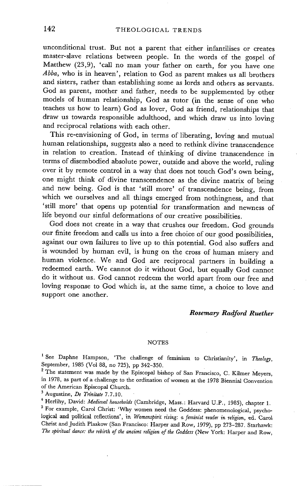unconditional trust. But not a parent that either infantilises or creates master-slave relations between people. In the words of the gospel of Matthew (23,9), 'call no man your father on earth, for you have one *Abba,* who is in heaven', relation to God as parent makes us all brothers and sisters, rather than establishing some as lords and others as servants. God as parent, mother and father, needs to be supplemented by other models of human relationship, God as tutor (in the sense of one who teaches us how to learn) God as lover, God as friend, relationships that draw us towards responsible adulthood, and which draw us into loving and reciprocal relations with each other.

This re-envisioning of God, in terms of liberating, loving and mutual human relationships, suggests also a need to rethink divine transcendence in relation to creation. Instead of thinking of divine transcendence in terms of disembodied absolute power, outside and above the world, ruling over it by remote control in a way that does not touch God's own being, one might think of divine transcendence as the divine matrix of being and new being. God is that 'still more' of transcendence being, from which we ourselves and all things emerged from nothingness, and that 'still more' that opens up potential for transformation and newness of life beyond our sinful deformations of our creative possibilities.

God does not create in a way that crushes our freedom. God grounds our finite freedom and calls us into a free choice of our good possibilities, against our own failures to live up to this potential. God also suffers and is wounded by human evil, is hung on the cross of human misery and human violence. We and God are reciprocal partners in building a redeemed earth. We cannot do it without God, but equally God cannot do it without us. God cannot redeem the world apart from our free and loving response to God which is, at the same time, a choice to love and support one another.

## *Rosemary Radford Ruether*

## NOTES

<sup>1</sup> See Daphne Hampson, 'The challenge of feminism to Christianity', in *Theology*, September, 1985 (Vol 88, no 725), pp 342-350.

<sup>2</sup> The statement was made by the Episcopal bishop of San Francisco, C. Kilmer Meyers, in 1978, as part of a challenge to the ordination of women at the 1978 Biennial Convention of the American Episcopal Church.

3 Augustine, *De Trinitate* 7.7.10.

4 Herlihy, David: *Medieval households* (Cambridge, Mass.: Harvard U.P., 1985), chapter 1. <sup>5</sup> For example, Carol Christ: 'Why women need the Goddess: phenomenological, psychological and political reflections', in Womenspirit rising: a feminist reader in religion, ed. Carol Christ and Judith Plaskow (San Francisco: Harper and Row, 1979), pp 273-287. Starhawk: *The spiritual dance." the rebirth of the ancient religion of the Goddess* (New York: Harper and Row,